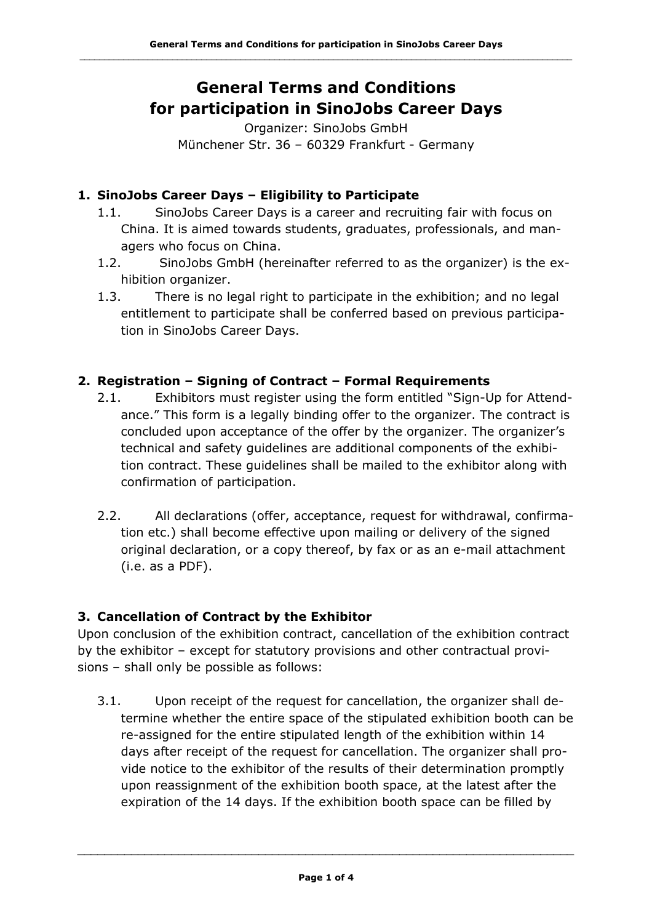# **General Terms and Conditions for participation in SinoJobs Career Days**

Organizer: SinoJobs GmbH Münchener Str. 36 – 60329 Frankfurt - Germany

## **1. SinoJobs Career Days – Eligibility to Participate**

- 1.1. SinoJobs Career Days is a career and recruiting fair with focus on China. It is aimed towards students, graduates, professionals, and managers who focus on China.
- 1.2. SinoJobs GmbH (hereinafter referred to as the organizer) is the exhibition organizer.
- 1.3. There is no legal right to participate in the exhibition; and no legal entitlement to participate shall be conferred based on previous participation in SinoJobs Career Days.

#### **2. Registration – Signing of Contract – Formal Requirements**

- 2.1. Exhibitors must register using the form entitled "Sign-Up for Attendance." This form is a legally binding offer to the organizer. The contract is concluded upon acceptance of the offer by the organizer. The organizer's technical and safety guidelines are additional components of the exhibition contract. These guidelines shall be mailed to the exhibitor along with confirmation of participation.
- 2.2. All declarations (offer, acceptance, request for withdrawal, confirmation etc.) shall become effective upon mailing or delivery of the signed original declaration, or a copy thereof, by fax or as an e-mail attachment (i.e. as a PDF).

#### **3. Cancellation of Contract by the Exhibitor**

Upon conclusion of the exhibition contract, cancellation of the exhibition contract by the exhibitor – except for statutory provisions and other contractual provisions – shall only be possible as follows:

3.1. Upon receipt of the request for cancellation, the organizer shall determine whether the entire space of the stipulated exhibition booth can be re-assigned for the entire stipulated length of the exhibition within 14 days after receipt of the request for cancellation. The organizer shall provide notice to the exhibitor of the results of their determination promptly upon reassignment of the exhibition booth space, at the latest after the expiration of the 14 days. If the exhibition booth space can be filled by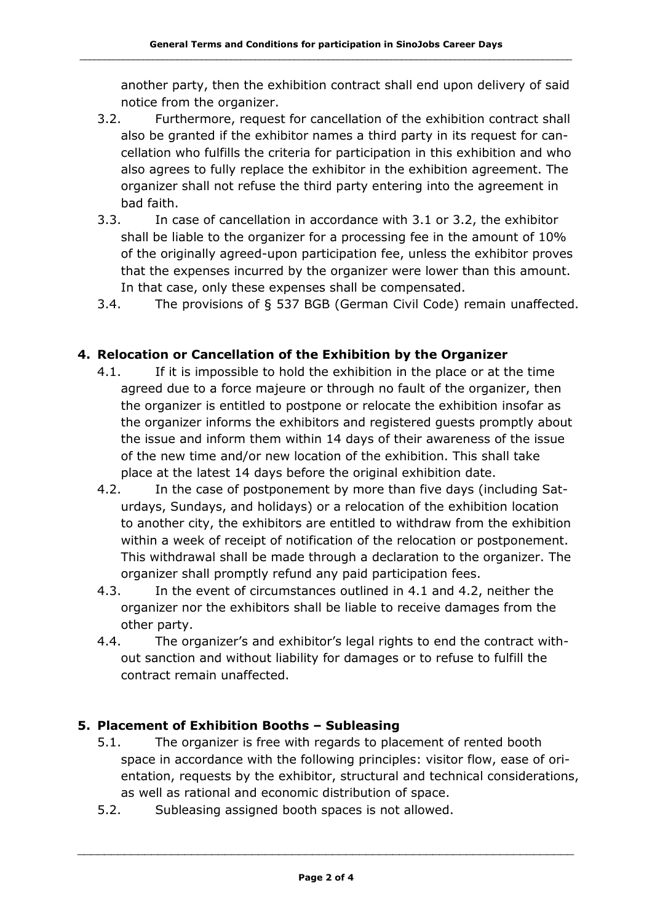another party, then the exhibition contract shall end upon delivery of said notice from the organizer.

- 3.2. Furthermore, request for cancellation of the exhibition contract shall also be granted if the exhibitor names a third party in its request for cancellation who fulfills the criteria for participation in this exhibition and who also agrees to fully replace the exhibitor in the exhibition agreement. The organizer shall not refuse the third party entering into the agreement in bad faith.
- 3.3. In case of cancellation in accordance with 3.1 or 3.2, the exhibitor shall be liable to the organizer for a processing fee in the amount of 10% of the originally agreed-upon participation fee, unless the exhibitor proves that the expenses incurred by the organizer were lower than this amount. In that case, only these expenses shall be compensated.
- 3.4. The provisions of § 537 BGB (German Civil Code) remain unaffected.

## **4. Relocation or Cancellation of the Exhibition by the Organizer**

- 4.1. If it is impossible to hold the exhibition in the place or at the time agreed due to a force majeure or through no fault of the organizer, then the organizer is entitled to postpone or relocate the exhibition insofar as the organizer informs the exhibitors and registered guests promptly about the issue and inform them within 14 days of their awareness of the issue of the new time and/or new location of the exhibition. This shall take place at the latest 14 days before the original exhibition date.
- 4.2. In the case of postponement by more than five days (including Saturdays, Sundays, and holidays) or a relocation of the exhibition location to another city, the exhibitors are entitled to withdraw from the exhibition within a week of receipt of notification of the relocation or postponement. This withdrawal shall be made through a declaration to the organizer. The organizer shall promptly refund any paid participation fees.
- 4.3. In the event of circumstances outlined in 4.1 and 4.2, neither the organizer nor the exhibitors shall be liable to receive damages from the other party.
- 4.4. The organizer's and exhibitor's legal rights to end the contract without sanction and without liability for damages or to refuse to fulfill the contract remain unaffected.

## **5. Placement of Exhibition Booths – Subleasing**

- 5.1. The organizer is free with regards to placement of rented booth space in accordance with the following principles: visitor flow, ease of orientation, requests by the exhibitor, structural and technical considerations, as well as rational and economic distribution of space.
- 5.2. Subleasing assigned booth spaces is not allowed.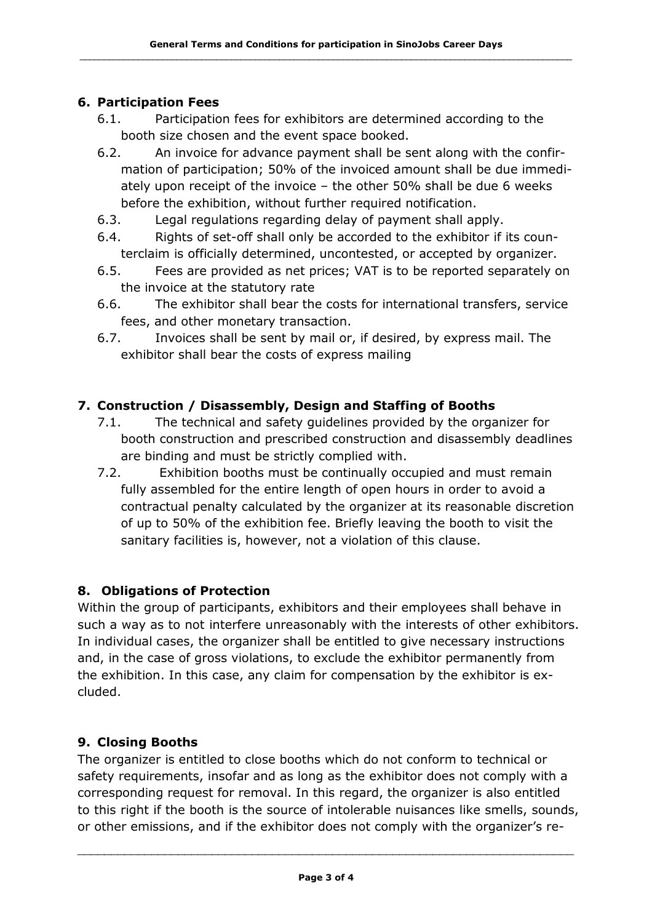#### **6. Participation Fees**

- 6.1. Participation fees for exhibitors are determined according to the booth size chosen and the event space booked.
- 6.2. An invoice for advance payment shall be sent along with the confirmation of participation; 50% of the invoiced amount shall be due immediately upon receipt of the invoice – the other 50% shall be due 6 weeks before the exhibition, without further required notification.
- 6.3. Legal regulations regarding delay of payment shall apply.
- 6.4. Rights of set-off shall only be accorded to the exhibitor if its counterclaim is officially determined, uncontested, or accepted by organizer.
- 6.5. Fees are provided as net prices; VAT is to be reported separately on the invoice at the statutory rate
- 6.6. The exhibitor shall bear the costs for international transfers, service fees, and other monetary transaction.
- 6.7. Invoices shall be sent by mail or, if desired, by express mail. The exhibitor shall bear the costs of express mailing

#### **7. Construction / Disassembly, Design and Staffing of Booths**

- 7.1. The technical and safety guidelines provided by the organizer for booth construction and prescribed construction and disassembly deadlines are binding and must be strictly complied with.
- 7.2. Exhibition booths must be continually occupied and must remain fully assembled for the entire length of open hours in order to avoid a contractual penalty calculated by the organizer at its reasonable discretion of up to 50% of the exhibition fee. Briefly leaving the booth to visit the sanitary facilities is, however, not a violation of this clause.

#### **8. Obligations of Protection**

Within the group of participants, exhibitors and their employees shall behave in such a way as to not interfere unreasonably with the interests of other exhibitors. In individual cases, the organizer shall be entitled to give necessary instructions and, in the case of gross violations, to exclude the exhibitor permanently from the exhibition. In this case, any claim for compensation by the exhibitor is excluded.

#### **9. Closing Booths**

The organizer is entitled to close booths which do not conform to technical or safety requirements, insofar and as long as the exhibitor does not comply with a corresponding request for removal. In this regard, the organizer is also entitled to this right if the booth is the source of intolerable nuisances like smells, sounds, or other emissions, and if the exhibitor does not comply with the organizer's re-